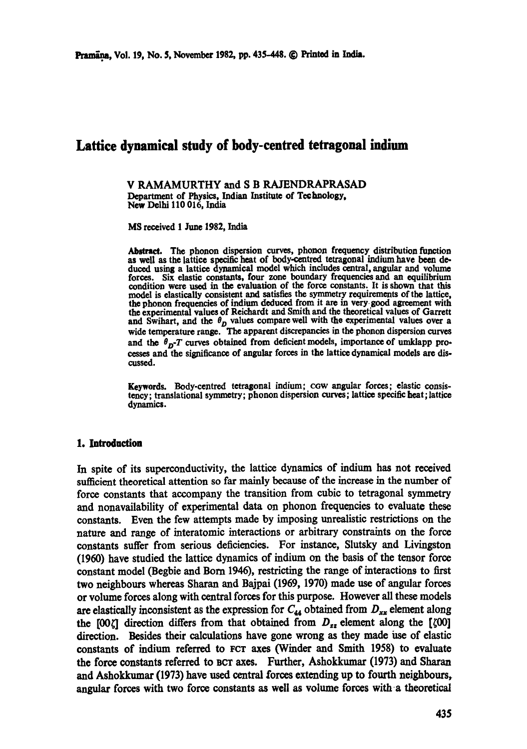# **Lattice dynamical study of body-centred tetragonal indium**

V RAMAMURTHY and S B RAJENDRAPRASAD Department of Physics, Indian Institute of Technology, New Delhi 110 016, India

**MS received 1 June 1982, India** 

Abstract. The phonon dispersion curves, phonon frequency distribution function as well as the lattice specific heat of body-centred tetragonal indium have been deduced using a lattice dynamical model which includes central, angular and volume forces. Six elastic constants, four zone boundary frequencies and an equilibrium condition were used in the evaluation of the force constants. It is shown that this model is elastically consistent and satisfies the symmetry requirements of the lattice, the phonon frequencies of indium deduced from it are in very good agreement with the experimental values of Reichardt and Smith and the theoretical values of Garrett and Swihart, and the  $\theta_D$  values compare well with the experimental values over a wide temperature range. The apparent discrepancies in the phonon dispersion curves and the  $\theta_{D}$ -T curves obtained from deficient models, importance of umklapp processes and the significance of angular forces in the lattice dynamical models are dis. cussed.

Keywords. Body-centred tetragonal indium; cow angular forces; elastic consistency; translational symmetry; phonon dispersion curves; lattice specific heat; lattice dynamics.

#### 1. Introduction

In spite of its superconductivity, the lattice dynamics of indium has not received sufficient theoretical attention so far mainly because of the increase in the number of force constants that accompany the transition from cubic to tetragonal symmetry and nonavailability of experimental data on phonon frequencies to evaluate these constants, Even the few attempts made by imposing unrealistic restrictions on the nature and range of interatomic interactions or arbitrary constraints on the force constants suffer from serious deficiencies. For instance, Slutsky and Livingston (1960) have studied the lattice dynamics of indium on the basis of the tensor force constant model (Begbie and Born 1946), restricting the range of interactions to first two neighbours whereas Sharan and Bajpai (1969, 1970) made use of angular forces or volume forces along with central forces for this purpose. However all these models are elastically inconsistent as the expression for  $C_{44}$  obtained from  $D_{xx}$  element along the [00 $\zeta$ ] direction differs from that obtained from  $D_{zz}$  element along the [ $\zeta$ 00] direction. Besides their calculations have gone wrong as they made use of elastic constants of indium referred to FCT axes (Winder and Smith 1958) to evaluate the force constants referred to BCT axes. Further, Ashokkumar (1973) and Sharan and Ashokkumar (1973) have used central £orces extending up to fourth neighbours, angular forces with two force constants as well as volume forces with a theoretical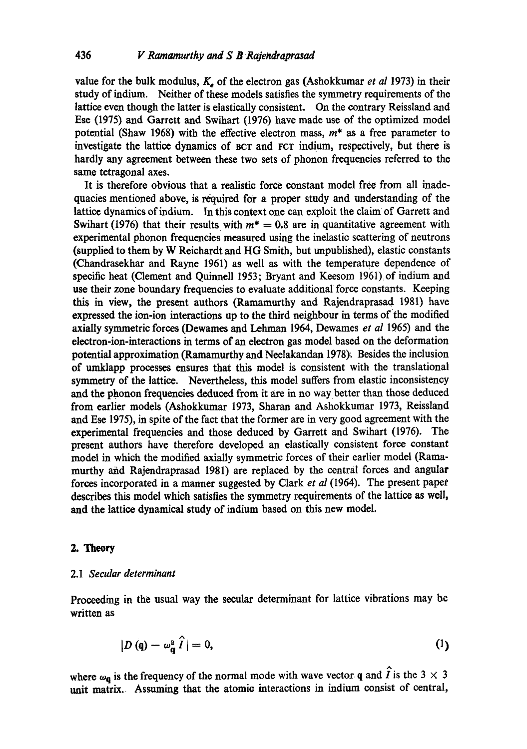value for the bulk modulus,  $K_e$  of the electron gas (Ashokkumar *et al* 1973) in their study of indium. Neither of these models satisfies the symmetry requirements of the lattice even though the latter is elastically consistent. On the contrary Reissland and Ese (1975) and Garrett and Swihart (1976) have made use of the optimized model potential (Shaw 1968) with the effective electron mass,  $m^*$  as a free parameter to investigate the lattice dynamics of BCT and FCT indium, respectively, but there is hardly any agreement between these two sets of phonon frequencies referred to the same tetragonal axes.

It is therefore obvious that a realistic force constant model free from all inadequacies mentioned above, is required for a proper study and understanding of the lattice dynamics of indium. In this context one can exploit the claim of Garrett and Swihart (1976) that their results with  $m^* = 0.8$  are in quantitative agreement with experimental phonon frequencies measured using the inelastic scattering of neutrons (supplied to them by W Reichardt and HG Smith, but unpublished), elastic constants (Chandrasekhar and Rayne 1961) as well as with the temperature dependence of specific heat (Clement and Quinnell 1953; Bryant and Keesom 1961) of indium and use their zone boundary frequencies to evaluate additional force constants. Keeping this in view, the present authors (Ramamurthy and Rajendraprasad 1981) have expressed the ion-ion interactions up to the third neighbour in terms of the modified axially symmetric forces (Dewames and Lehman 1964, Dewames *et al* 1965) and the electron-ion-interactions in terms of an electron gas model based on the deformation potential approximation (Ramamurthy and Neelakandan 1978): Besides the inclusion of umklapp processes ensures that this model is consistent with the translational symmetry of the lattice. Nevertheless, this model suffers from elastic inconsistency and the phonon frequencies deduced from it are in no way better than those deduced from earlier models (Ashokkumar 1973, Sharan and Ashokkumar 1973, Reissland and Ese 1975), in spite of the fact that the former are in very good agreement with the experimental frequencies and those deduced by Garrett and Swihart (1976). The present authors have therefore developed an elastically consistent force constant model in which the modified axially symmetric forces of their earlier model (Ramamurthy and Rajendraprasad 1981) are replaced by the central forces and angular forces incorporated in a manner suggested by Clark *et al* (1964). The present paper describes this model which satisfies the symmetry requirements of the lattice as well, and the lattice dynamical study of indium based on this new model.

#### *2. Theory*

#### 2.1 *Secular determinant*

Proceeding in the usual way the secular determinant for lattice vibrations may be written as

$$
|D(\mathbf{q}) - \omega_{\mathbf{q}}^2 \hat{I}| = 0, \tag{1}
$$

where  $\omega_{\bf q}$  is the frequency of the normal mode with wave vector q and  $\hat{I}$  is the 3  $\times$  3 unit matrix. Assuming that the atomic interactions in indium consist of central,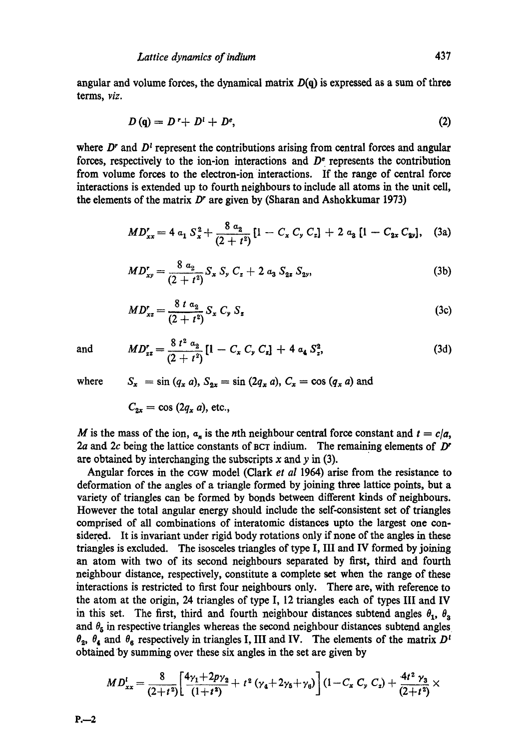angular and volume forces, the dynamical matrix  $D(q)$  is expressed as a sum of three terms, *viz.* 

$$
D\left(\mathbf{q}\right) = D\mathbf{r} + D^i + D^e,\tag{2}
$$

where  $D<sup>r</sup>$  and  $D<sup>t</sup>$  represent the contributions arising from central forces and angular forces, respectively to the ion-ion interactions and  $D<sup>e</sup>$  represents the contribution from volume forces to the electron-ion interactions. If the range of central force interactions is extended up to fourth neighbours to include all atoms in the unit cell, the elements of the matrix  $D<sup>r</sup>$  are given by (Sharan and Ashokkumar 1973)

$$
MD'_{xx} = 4 a_1 S_x^2 + \frac{8 a_2}{(2+t^2)} [1 - C_x C_y C_z] + 2 a_3 [1 - C_{2x} C_{2y}], \quad (3a)
$$

$$
MD_{xy}^r = \frac{8 a_2}{(2+t^2)} S_x S_y C_z + 2 a_3 S_{2z} S_{2y},
$$
\n(3b)

$$
MD_{xz}^{r} = \frac{8 t a_{2}}{(2 + t^{2})} S_{x} C_{y} S_{z}
$$
 (3c)

and 
$$
MD_{zz} = \frac{8 t^2 a_2}{(2 + t^2)} [1 - C_x C_y C_z] + 4 a_4 S_z^2,
$$
 (3d)

where  $S_x = \sin (q_x a)$ ,  $S_{2x} = \sin (2q_x a)$ ,  $C_x = \cos (q_x a)$  and

 $C_{2x} = \cos(2q_x a)$ , etc.,

M is the mass of the ion,  $a_n$  is the nth neighbour central force constant and  $t = c/a$ , 2a and 2c being the lattice constants of BCT indium. The remaining elements of  $D<sup>r</sup>$ are obtained by interchanging the subscripts  $x$  and  $y$  in (3).

Angular forces in the cGw model (Clark *et al* 1964) arise from the resistance to deformation of the angles of a triangle formed by joining three lattice points, but a variety of triangles can be formed by bonds between different kinds of neighbours. However the total angular energy should include the self-consistent set of triangles comprised of all combinations of interatomie distances upto the largest one considered. It is invariant under rigid body rotations only if none of the angles in these triangles is excluded. The isosceles triangles of type I, III and IV formed by joining an atom with two of its second neighbours separated by first, third and fourth neighbour distance, respectively, constitute a complete set when the range of these interactions is restricted to first four neighbours only. There are, with reference to the atom at the origin, 24 triangles of type I, 12 triangles each of types III and IV in this set. The first, third and fourth neighbour distances subtend angles  $\theta_1$ ,  $\theta_2$ and  $\theta_5$  in respective triangles whereas the second neighbour distances subtend angles  $\theta_2$ ,  $\theta_4$  and  $\theta_6$  respectively in triangles I, III and IV. The elements of the matrix  $D^{\dagger}$ obtained by summing over these six angles in the set are given by

$$
MD_{xx}^{t} = \frac{8}{(2+t^2)} \left[ \frac{4\gamma_1 + 2p\gamma_2}{(1+t^2)} + t^2 \left( \gamma_4 + 2\gamma_5 + \gamma_6 \right) \right] (1-C_x C_y C_z) + \frac{4t^2 \gamma_3}{(2+t^2)} \times
$$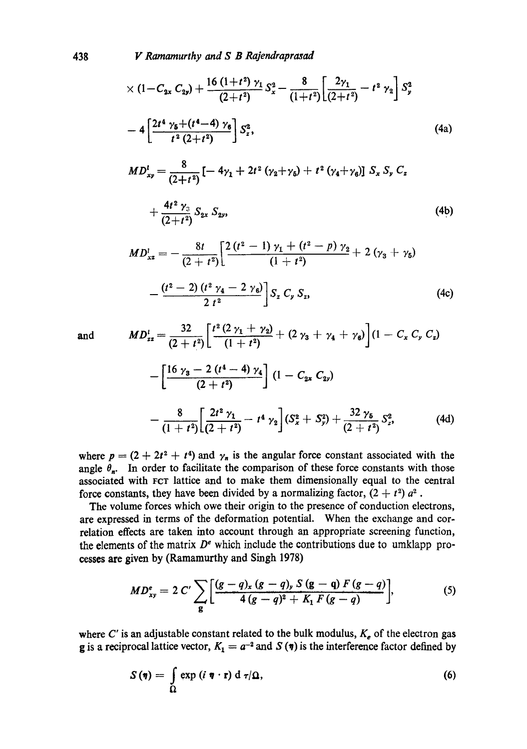438 *1 z Ramamurthy and S B Rajendraprasad* 

$$
\times (1 - C_{2x} C_{2y}) + \frac{16 (1+t^2) \gamma_1}{(2+t^2)} S_x^2 - \frac{8}{(1+t^2)} \left[ \frac{2\gamma_1}{(2+t^2)} - t^2 \gamma_2 \right] S_y^2
$$
  
\n
$$
- 4 \left[ \frac{2t^4 \gamma_5 + (t^4 - 4) \gamma_6}{t^2 (2+t^2)} \right] S_z^2,
$$
\n(4a)  
\n
$$
MD_{xy}^t = \frac{8}{(2+t^2)} \left[ -4\gamma_1 + 2t^2 (\gamma_2 + \gamma_5) + t^2 (\gamma_4 + \gamma_6) \right] S_x S_y C_z
$$
  
\n
$$
+ \frac{4t^2 \gamma_3}{(2+t^2)} S_{2x} S_{2y},
$$
\n(4b)  
\n
$$
MD_{xz}^l = -\frac{8t}{(2+t^2)} \left[ \frac{2 (t^2 - 1) \gamma_1 + (t^2 - p) \gamma_2}{(1+t^2)} + 2 (\gamma_3 + \gamma_5) \right]
$$
  
\n
$$
- \frac{(t^2 - 2) (t^2 \gamma_4 - 2 \gamma_6)}{2 t^2} \right] S_z C_y S_z,
$$
\n(4c)

and 
$$
MD_{zz}^{t} = \frac{32}{(2+t^2)} \left[ \frac{t^2 (2 \gamma_1 + \gamma_2)}{(1+t^2)} + (2 \gamma_3 + \gamma_4 + \gamma_6) \right] (1 - C_x C_y C_z)
$$

$$
- \left[ \frac{16 \gamma_3 - 2 (t^4 - 4) \gamma_4}{(2+t^2)} \right] (1 - C_{2x} C_{2y})
$$

$$
- \frac{8}{(1+t^2)} \left[ \frac{2t^2 \gamma_1}{(2+t^2)} - t^4 \gamma_2 \right] (S_x^2 + S_y^2) + \frac{32 \gamma_5}{(2+t^2)} S_z^2, \tag{4d}
$$

where  $p = (2 + 2t^2 + t^4)$  and  $\gamma_n$  is the angular force constant associated with the angle  $\theta_n$ . In order to facilitate the comparison of these force constants with those associated with FCV lattice and to make them dimensionally equal to the central force constants, they have been divided by a normalizing factor,  $(2 + t^2) a^2$ .

The volume forces which owe their origin to the presence of conduction electrons, are expressed in terms of the deformation potential. When the exchange and correlation effects are taken into account through an appropriate screening function, the elements of the matrix  $D<sup>e</sup>$  which include the contributions due to umklapp processes are given by (Ramamurthy and Singh 1978)

$$
MD_{xy}^{e} = 2 C' \sum_{g} \left[ \frac{(g-q)_{x} (g-q)_{y} S (g-q) F (g-q)}{4 (g-q)^{2} + K_{1} F (g-q)} \right],
$$
 (5)

where C' is an adjustable constant related to the bulk modulus,  $K_e$  of the electron gas g is a reciprocal lattice vector,  $K_1 = a^{-2}$  and  $S(\eta)$  is the interference factor defined by

$$
S(\eta) = \int_{\Omega} \exp(i \ \eta \cdot \mathbf{r}) \ d \ \tau/\Omega, \tag{6}
$$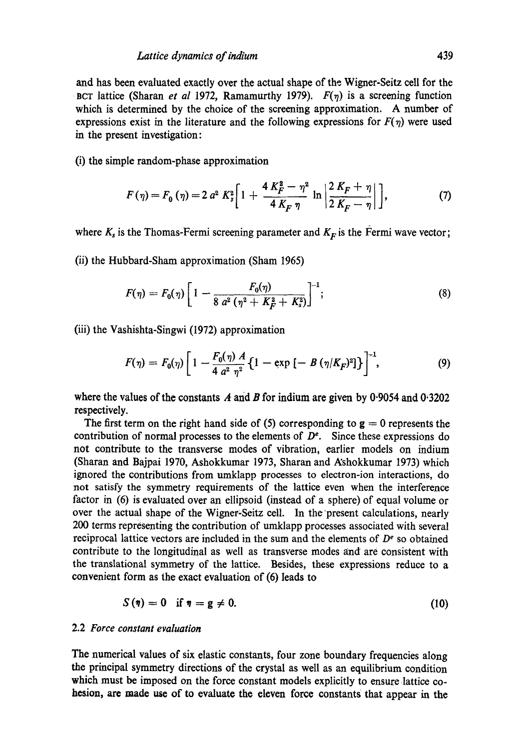and has been evaluated exactly over the actual shape of the Wigner-Seitz cell for the BCT lattice (Sharan *et al* 1972, Ramamurthy 1979).  $F(\eta)$  is a screening function which is determined by the choice of the screening approximation. A number of expressions exist in the literature and the following expressions for  $F(\eta)$  were used in the present investigation:

**(i)** the simple random-phase approximation

$$
F(\eta) = F_0(\eta) = 2 a^2 K_s^2 \bigg[ 1 + \frac{4 K_F^2 - \eta^2}{4 K_F \eta} \ln \left| \frac{2 K_F + \eta}{2 K_F - \eta} \right| \bigg],
$$
 (7)

where  $K_s$  is the Thomas-Fermi screening parameter and  $K_F$  is the Fermi wave vector;

(ii) the Hubbard-Sham approximation (Sham 1965)

$$
F(\eta) = F_0(\eta) \left[ 1 - \frac{F_0(\eta)}{8 a^2 (\eta^2 + K_F^2 + K_s^2)} \right]^{-1};
$$
\n(8)

(iii) the Vashishta-Singwi (1972) approximation

$$
F(\eta) = F_0(\eta) \left[ 1 - \frac{F_0(\eta) A}{4 a^2 \eta^2} \left\{ 1 - \exp \left[ - B (\eta / K_F)^2 \right] \right\} \right]^{-1}, \tag{9}
$$

where the values of the constants A and B for indium are given by 0.9054 and 0.3202 respectively.

The first term on the right hand side of (5) corresponding to  $g = 0$  represents the contribution of normal processes to the elements of  $D<sup>e</sup>$ . Since these expressions do not contribute to the transverse modes of vibration, earlier models on indium (Sharan and Bajpai 1970, Ashokkumar 1973, Sharan and Rshokkumar 1973) which ignored the contributions from umklapp processes to electron-ion interactions, do not satisfy the symmetry requirements of the lattice even when the interference factor in (6) is evaluated over an ellipsoid (instead of a sphere) of equal volume or over the actual shape of the Wigner-Seitz cell. In the'present calculations, nearly 200 terms representing the contribution of umklapp processes associated with several reciprocal lattice vectors are included in the sum and the elements of  $D<sup>e</sup>$  so obtained contribute to the longitudinal as well as transverse modes and are consistent with the translational symmetry of the lattice. Besides, these expressions reduce to a convenient form as the exact evaluation of (6) leads to

$$
S(\eta) = 0 \quad \text{if } \eta = g \neq 0. \tag{10}
$$

## 2.2 *Force constant evaluation*

The numerical values of six elastic constants, four zone boundary frequencies along the principal symmetry directions of the crystal as well as an equilibrium condition which must be imposed on the force constant models explicitly to ensure lattice cohesion, are made use of to evaluate the eleven force constants that appear in the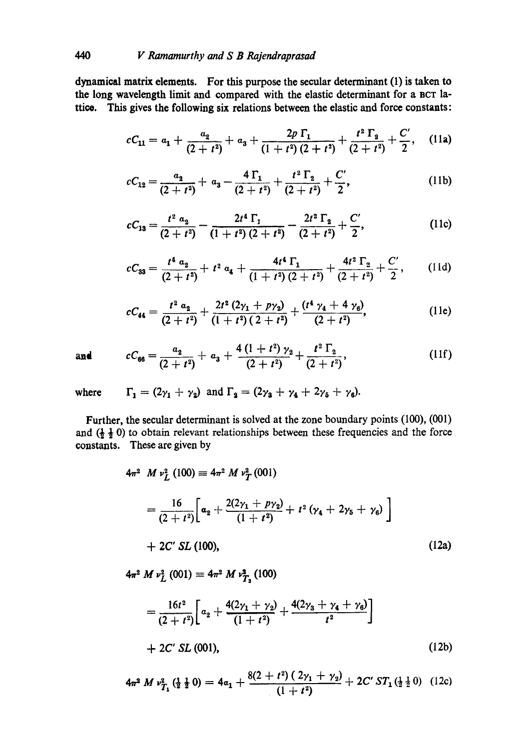dynamical matrix elements. For this purpose the secular determinant (1) is taken to the long wavelength limit and compared with the elastic determinant for a BCT lattico. This gives the following six relations between the elastic and force constants:

$$
cC_{11} = a_1 + \frac{a_2}{(2+t^2)} + a_3 + \frac{2p \Gamma_1}{(1+t^2)(2+t^2)} + \frac{t^2 \Gamma_2}{(2+t^2)} + \frac{C'}{2}, \quad (11a)
$$

$$
cC_{12} = \frac{a_2}{(2+t^2)} + a_3 - \frac{4\,\Gamma_1}{(2+t^2)} + \frac{t^2\,\Gamma_2}{(2+t^2)} + \frac{C'}{2},\tag{11b}
$$

$$
cC_{13} = \frac{t^2 \alpha_2}{(2+t^2)} - \frac{2t^4 \Gamma_1}{(1+t^2)(2+t^2)} - \frac{2t^2 \Gamma_2}{(2+t^2)} + \frac{C'}{2},
$$
(11c)

$$
cC_{33}=\frac{t^4}{(2+t^2)}+t^2 a_4+\frac{4t^4\,\Gamma_1}{(1+t^2)\,(2+t^2)}+\frac{4t^2\,\Gamma_2}{(2+t^2)}+\frac{C'}{2},\qquad(11d)
$$

$$
cC_{44} = \frac{t^2 \alpha_2}{(2+t^2)} + \frac{2t^2 (2\gamma_1 + p\gamma_2)}{(1+t^2) (2+t^2)} + \frac{(t^4 \gamma_4 + 4 \gamma_6)}{(2+t^2)},
$$
(11e)

and 
$$
cC_{66} = \frac{a_2}{(2+t^2)} + a_3 + \frac{4(1+t^2)\gamma_2}{(2+t^2)} + \frac{t^2\Gamma_2}{(2+t^2)},
$$
 (11f)

where  $\Gamma_1 = (2\gamma_1 + \gamma_2)$  and  $\Gamma_2 = (2\gamma_3 + \gamma_4 + 2\gamma_5 + \gamma_6)$ .

Further, the secular determinant is solved at the zone boundary points (100), (001) and  $(\frac{1}{2}, \frac{1}{2}, 0)$  to obtain relevant relationships between these frequencies and the force constants. These are given by

$$
4\pi^2 M v_L^2 (100) \equiv 4\pi^2 M v_T^2 (001)
$$
  
= 
$$
\frac{16}{(2+t^2)} \bigg[ \alpha_2 + \frac{2(2\gamma_1 + p\gamma_2)}{(1+t^2)} + t^2 (\gamma_4 + 2\gamma_5 + \gamma_6) \bigg]
$$
  
+ 2C' SL (100), (12a)

 $4\pi^2 M v_L^2 (001) \equiv 4\pi^2 M v_{T_2}^2 (100)$ 

$$
=\frac{16t^2}{(2+t^2)}\bigg[a_2+\frac{4(2\gamma_1+\gamma_2)}{(1+t^2)}+\frac{4(2\gamma_3+\gamma_4+\gamma_6)}{t^2}\bigg] +2C'SL (001),
$$
 (12b)

$$
4\pi^2 M \nu_{T_1}^2(\frac{1}{2}\frac{1}{2}0) = 4\alpha_1 + \frac{8(2+t^2)(2\gamma_1+\gamma_2)}{(1+t^2)} + 2C' ST_1(\frac{1}{2}\frac{1}{2}0) \quad (12c)
$$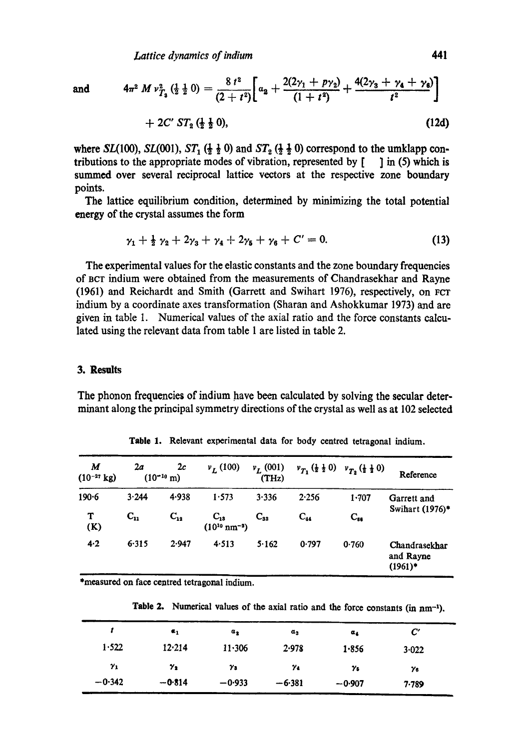and 
$$
4\pi^2 M \nu_{T_2}^2 \left(\frac{1}{2} \frac{1}{2} 0\right) = \frac{8 t^2}{(2 + t^2)} \left[ \alpha_2 + \frac{2(2\gamma_1 + p\gamma_2)}{(1 + t^2)} + \frac{4(2\gamma_3 + \gamma_4 + \gamma_6)}{t^2} \right] + 2C' ST_2 \left(\frac{1}{2} \frac{1}{2} 0\right),
$$
 (12d)

where *SL*(100), *SL*(001), *ST*<sub>1</sub>( $\frac{1}{2}$ ,  $\frac{1}{2}$  0) and *ST*<sub>2</sub>( $\frac{1}{2}$ ,  $\frac{1}{2}$  0) correspond to the umklapp contributions to the appropriate modes of vibration, represented by  $\begin{bmatrix} 1 \\ 1 \end{bmatrix}$  in (5) which is summed over several reciprocal lattice vectors at the respective zone boundary points.

The lattice equilibrium condition, determined by minimizing the total potential energy of the crystal assumes the form

$$
\gamma_1 + \frac{1}{2} \gamma_2 + 2\gamma_3 + \gamma_4 + 2\gamma_5 + \gamma_6 + C' = 0. \tag{13}
$$

The experimental values for the elastic constants and the zone boundary frequencies of BCT indium were obtained from the measurements of Chandrasekhar and Rayne (1961) and Reichardt and Smith (Garrett and Swihart 1976), respectively, on For indium by a coordinate axes transformation (Sharan and Ashokkumar 1973) and are given in table 1. Numerical values of the axial ratio and the force constants calculated using the relevant data from table 1 are listed in table 2.

#### **3. Results**

The phonon frequencies of indium have been calculated by solving the secular determinant along the principal symmetry directions of the crystal as well as at 102 selected

| М<br>$(10^{-27}$ kg) | 2a       | 2c<br>$(10^{-10} \text{ m})$ | $v_L(100)$                              | $v_L(001)$<br>(THz) | $v_{T_1} (\frac{1}{2} \frac{1}{2} 0)$ | $v_{T_2}(\frac{1}{2}\frac{1}{2}0)$ | Reference                                |  |
|----------------------|----------|------------------------------|-----------------------------------------|---------------------|---------------------------------------|------------------------------------|------------------------------------------|--|
| $190 - 6$            | 3.244    | 4.938                        | 1.573                                   | 3.336               | 2.256                                 | 1.707                              | Garrett and<br>Swihart (1976)*           |  |
| т<br>(K)             | $C_{11}$ | $C_{12}$                     | $C_{13}$<br>$(10^{10} \text{ nm}^{-3})$ | $C_{32}$            | $C_{44}$                              | $C_{ss}$                           |                                          |  |
| 4.2                  | 6.315    | 2.947                        | 4.513                                   | 5.162               | 0.797                                 | 0.760                              | Chandrasekhar<br>and Rayne<br>$(1961)^*$ |  |

Table 1. Relevant experimental data for body centred tetragonal indium.

\*measured on face centred tetragonal indium.

Table 2. Numerical values of the axial ratio and the force constants (in nm<sup>-1</sup>).

|            | $\epsilon_1$ | $a_{2}$    | $a_3$      | $a_{4}$    | $\bm{C}'$  |  |
|------------|--------------|------------|------------|------------|------------|--|
| 1.522      | 12.214       | 11.306     | 2.978      | 1.856      | 3.022      |  |
| $\gamma_1$ | $\gamma_{2}$ | $\gamma_3$ | $\gamma_4$ | $\gamma_5$ | $\gamma_6$ |  |
| $-0.342$   | $-0.814$     | $-0.933$   | $-6.381$   | $-0.907$   | 7.789      |  |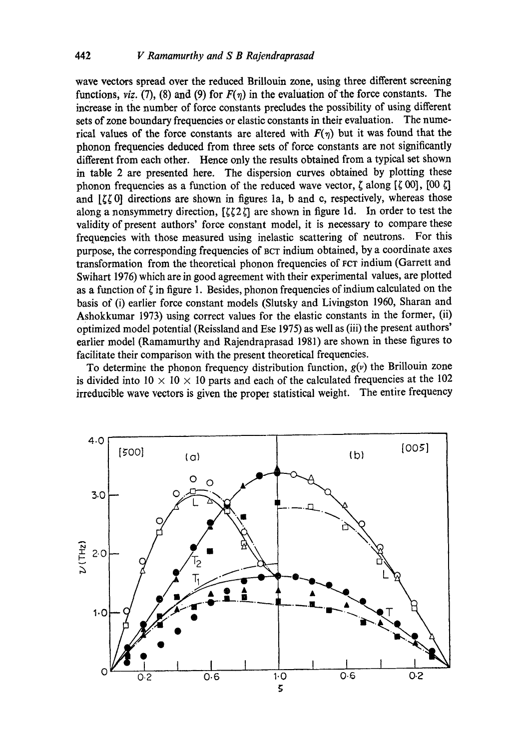wave vectors spread over the reduced Brillouin zone, using three different screening functions, *viz.* (7), (8) and (9) for  $F(\eta)$  in the evaluation of the force constants. The increase in the number of force constants precludes the possibility of using different sets of zone boundary frequencies or elastic constants in their evaluation. The numerical values of the force constants are altered with  $F(\eta)$  but it was found that the phonon frequencies deduced from three sets of force constants are not significantly different from each other. Hence only the results obtained from a typical set shown in table 2 are presented here. The dispersion curves obtained by plotting these phonon frequencies as a function of the reduced wave vector,  $\zeta$  along  $[\zeta 00]$ ,  $[00 \zeta]$ and  $\left[\zeta\zeta\right]$  directions are shown in figures 1a, b and c, respectively, whereas those along a nonsymmetry direction,  $[\zeta \zeta 2\zeta]$  are shown in figure 1d. In order to test the validity of present authors' force constant model, it is necessary to compare these frequencies with those measured using inelastic scattering of neutrons. For this purpose, the corresponding frequencies of Bcr indium obtained, by a coordinate axes transformation from the theoretical phonon frequencies of Fcx indium (Garrett and Swihart 1976) which are in good agreement with their experimental values, are plotted as a function of  $\zeta$  in figure 1. Besides, phonon frequencies of indium calculated on the basis of (i) earlier force constant models (Slutsky and Livingston 1960, Sharan and Ashokkumar 1973) using correct values for the elastic constants in the former, (ii) optimized model potential (Reissland and Ese 1975) as well as (iii) the present authors' earlier model (Ramamurthy and Rajendraprasad 1981) are shown in these figures to facilitate their comparison with the present theoretical frequencies.

To determine the phonon frequency distribution function,  $g(v)$  the Brillouin zone is divided into  $10 \times 10 \times 10$  parts and each of the calculated frequencies at the 102 irreducible wave vectors is given the proper statistical weight. The entire frequency

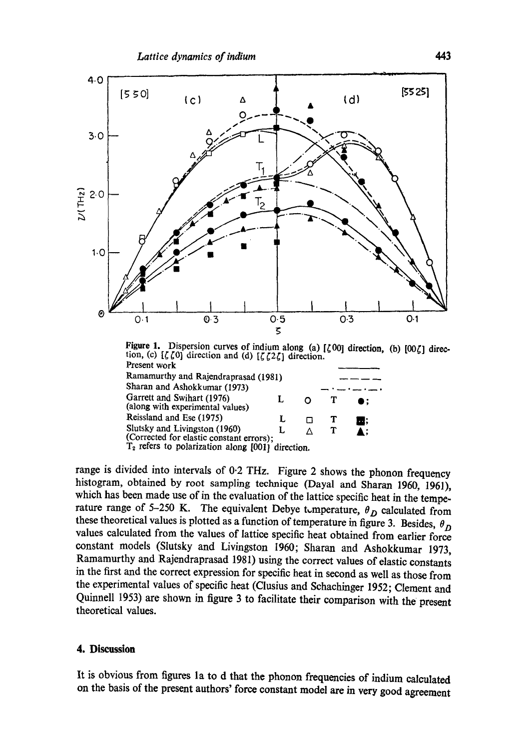

Figure 1. Dispersion curves of indium along (a)  $[\zeta 00]$  direction, (b)  $[00\zeta]$  direction, (c)  $[\zeta \zeta 0]$  direction and (d)  $[\zeta \zeta 2\zeta]$  direction. Present work

| Ramamurthy and Rajendraprasad (1981)                                                                                             |  |    |
|----------------------------------------------------------------------------------------------------------------------------------|--|----|
| Sharan and Ashokkumar (1973)                                                                                                     |  |    |
| Garrett and Swihart (1976)<br>(along with experimental values)                                                                   |  | D: |
| Reissland and Ese (1975)                                                                                                         |  | ш, |
| Slutsky and Livingston (1960)<br>(Corrected for elastic constant errors);<br>$T_2$ refers to polarization along [001] direction. |  | ▲: |
|                                                                                                                                  |  |    |

range is divided into intervals of 0.2 THz. Figure 2 shows the phonon frequency histogram, obtained by root sampling technique (Dayal and Sharan 1960, 1961), which has been made use of in the evaluation of the lattice specific heat in the temperature range of 5-250 K. The equivalent Debye t,mperature,  $\theta_D$  calculated from these theoretical values is plotted as a function of temperature in figure 3. Besides,  $\theta_D$ values calculated from the values of lattice specific heat obtained from earlier force constant models (Slutsky and Livingston 1960; Sharan and Ashokkumar 1973, Ramamurthy and Rajendraprasad 1981) using the correct values of elastic constants in the first and the correct expression for specific heat in second as well as those from the experimental values of specific heat (Clusius and Schachinger 1952; Clement and Quinnell 1953) are shown in figure 3 to facilitate their comparison with the present theoretical values.

## **4. Discussion**

It is obvious from figures la to d that the phonon frequencies of indium calculated on the basis of the present authors' force constant model are in very good agreement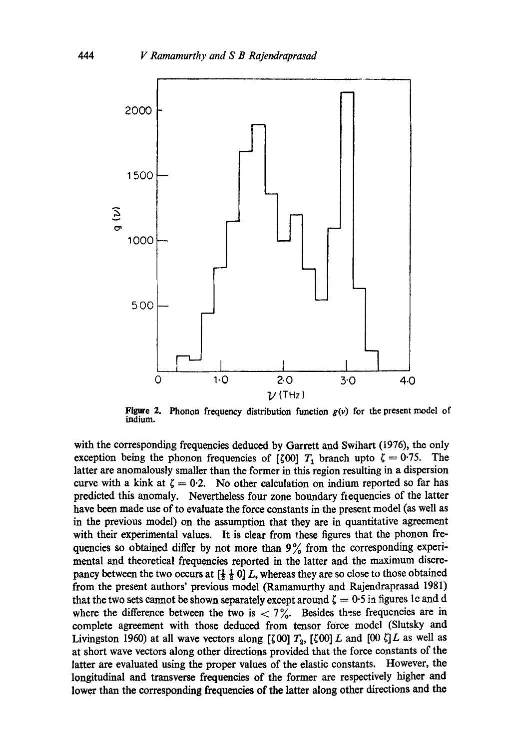

**Figure 2.**  indium. Phonon frequency distribution function  $g(v)$  for the present model of

with the corresponding frequencies deduced by Garrett and Swihart (1976), the only exception being the phonon frequencies of [ $\zeta$ 00]  $T_1$  branch upto  $\zeta = 0.75$ . The latter are anomalously smaller than the former in this region resulting in a dispersion curve with a kink at  $\zeta = 0.2$ . No other calculation on indium reported so far has predicted this anomaly. Nevertheless four zone boundary fiequencies of the latter have been made use of to evaluate the force constants in the present model (as well as in the previous model) on the assumption that they are in quantitative agreement with their experimental values. It is clear from these figures that the phonon frequencies so obtained differ by not more than  $9\%$  from the corresponding experimental and theoretical frequencies reported in the latter and the maximum discrepancy between the two occurs at  $\left[\frac{1}{2},\frac{1}{2},0\right]L$ , whereas they are so close to those obtained from the present authors' previous model (Ramamurthy and Rajendraprasad 1981) that the two sets cannot be shown separately except around  $\zeta = 0.5$  in figures 1c and d where the difference between the two is  $\langle 7\frac{9}{10} \rangle$ . Besides these frequencies are in complete agreement with those deduced from tensor force model (Slutsky and Livingston 1960) at all wave vectors along [ $\zeta$ 00]  $T_2$ , [ $\zeta$ 00] L and [00  $\zeta$ ] L as well as at short wave vectors along other directions provided that the force constants of the latter are evaluated using the proper values of the elastic constants. However, the longitudinal and transverse frequencies of the former are respectively higher and lower than the corresponding frequencies of the latter along other directions and the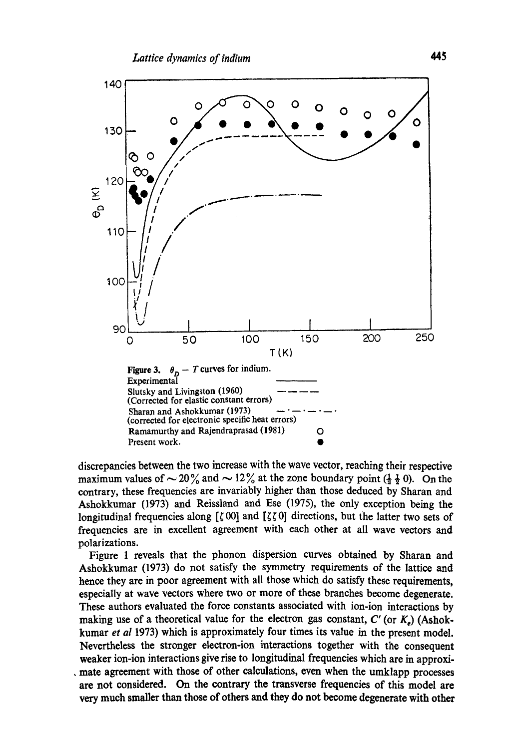

discrepancies between the two increase with the wave vector, reaching their respective maximum values of  $\sim$  20% and  $\sim$  12% at the zone boundary point ( $\frac{1}{2}$   $\frac{1}{2}$  0). On the contrary, these frequencies are invariably higher than those deduced by Sharan and Ashokkumar (1973) and Reissland and Ese (1975), the only exception being the longitudinal frequencies along [ $\zeta$  OO] and [ $\zeta \zeta$  O] directions, but the latter two sets of frequencies are in excellent agreement with each other at all wave vectors and polarizations.

Figure 1 reveals that the phonon dispersion curves obtained by Sharan and Ashokkumar (1973) do not satisfy the symmetry requirements of the lattice and hence they are in poor agreement with all those which do satisfy these requirements, especially at wave vectors where two or more of these branches become degenerate. These authors evaluated the force constants associated with ion-ion interactions by making use of a theoretical value for the electron gas constant,  $C'$  (or  $K<sub>e</sub>$ ) (Ashokkumar *et al* 1973) which is approximately four times its value in the present model. Nevertheless the stronger electron-ion interactions together with the consequent weaker ion-ion interactions give rise to longitudinal frequencies which are in approxi-• mate agreement with those of other calculations, even when the umklapp processes arc not considered. On the contrary the transverse frequencies of this model are very much smaller than those of others and they do not become degenerate with other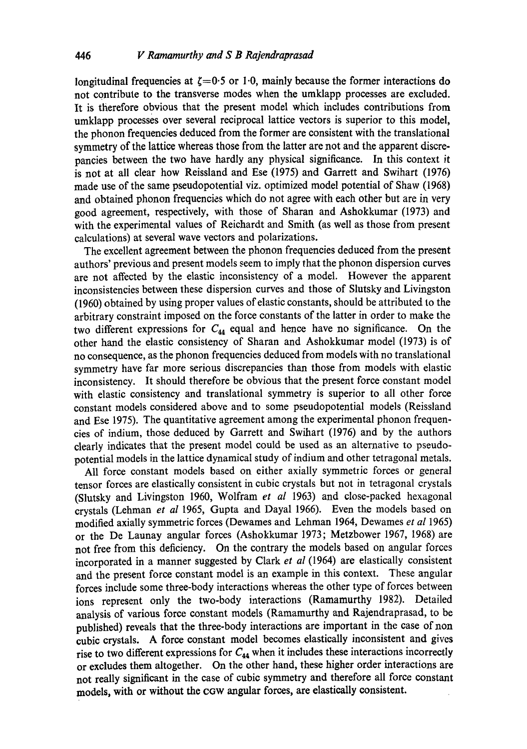longitudinal frequencies at  $\zeta=0.5$  or 1.0, mainly because the former interactions do not contribute to the transverse modes when the umklapp processes are excluded. It is therefore obvious that the present model which includes contributions from umklapp processes over several reciprocal lattice vectors is superior to this model, the phonon frequencies deduced from the former are consistent with the translational symmetry of the lattice whereas those from the latter are not and the apparent discrepancies between the two have hardly any physical significance. In this context it is not at all clear how Reissland and Ese (1975) and Garrett and Swihart (1976) made use of the same pseudopotential viz. optimized model potential of Shaw (1968) and obtained phonon frequencies which do not agree with each other but are in very good agreement, respectively, with those of Sharan and Ashokkumar (1973) and with the experimental values of Reichardt and Smith (as well as those from present calculations) at several wave vectors and polarizations.

The excellent agreement between the phonon frequencies deduced from the present authors' previous and present models seem to imply that the phonon dispersion curves are not affected by the elastic inconsistency of a model. However the apparent inconsistencies between these dispersion curves and those of Slutsky and Livingston (1960) obtained by using proper values of elastic constants, should be attributed to the arbitrary constraint imposed on the force constants of the latter in order to make the two different expressions for  $C_{44}$  equal and hence have no significance. On the other hand the elastic consistency of Sharan and Ashokkumar model (1973) is of no consequence, as the phonon frequencies deduced from models with no translational symmetry have far more serious discrepancies than those from models with elastic inconsistency. It should therefore be obvious that the present force constant model with elastic consistency and translational symmetry is superior to all other force constant models considered above and to some pseudopotential models (Reissland and Ese 1975). The quantitative agreement among the experimental phonon frequencies of indium, those deduced by Garrett and Swihart (1976) and by the authors clearly indicates that the present model could be used as an alternative to pseudopotential models in the lattice dynamical study of indium and other tetragonal metals.

All force constant models based on either axially symmetric forces or general tensor forces are elastically consistent in cubic crystals but not in tetragonal crystals (Slutsky and Livingston 1960, Wolfram *et al* 1963) and close-packed hexagonal crystals (Lehman *et al* 1965, Gupta and Dayal 1966). Even the models based on modified axially symmetric forces (Dewames and Lehman 1964, Dewames *et al* 1965) or the De Launay angular forces (Ashokkumar 1973; Metzbower 1967, 1968) are not free from this deficiency. On the contrary the models based on angular forces incorporated in a manner suggested by Clark *et al* (1964) are elastically consistent and the present force constant model is an example in this context. These angular forces include some three-body interactions whereas the other type of forces between ions represent only the two-body interactions (Ramamurthy 1982). Detailed analysis of various force constant models (Ramamurthy and Rajendraprasad, to be published) reveals that the three-body interactions are important in the case of non cubic crystals. A force constant model becomes elastically inconsistent and gives rise to two different expressions for  $C_{44}$  when it includes these interactions incorrectly or excludes them altogether. On the other hand, these higher order interactions are not really significant in the case of cubic symmetry and therefore all force constant models, with or without the cow angular forces, are elastically consistent.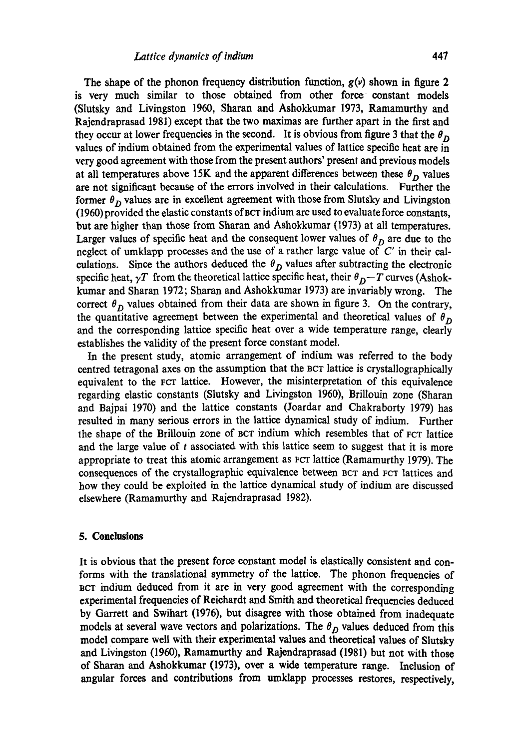The shape of the phonon frequency distribution function,  $g(v)$  shown in figure 2 is very much similar to those obtained from other force constant models (Slutsky and Livingston 1960, Sharan and Ashokkumar 1973, Ramamurthy and Rajendraprasad 1981) except that the two maximas are further apart in the first and they occur at lower frequencies in the second. It is obvious from figure 3 that the  $\theta_D$ values of indium obtained from the experimental values of lattice specific heat are in very good agreement with those from the present authors' present and previous models at all temperatures above 15K and the apparent differences between these  $\theta_D$  values are not significant because of the errors involved in their calculations. Further the former  $\theta_D$  values are in excellent agreement with those from Slutsky and Livingston (1960) provided the elastic constants of BeT indium are used to evaluate force constants, but are higher than those from Sharan and Ashokkumar (1973) at all temperatures. Larger values of specific heat and the consequent lower values of  $\theta_D$  are due to the neglect of umklapp processes and the use of a rather large value of  $C'$  in their calculations. Since the authors deduced the  $\theta_D$  values after subtracting the electronic specific heat,  $\gamma T$  from the theoretical lattice specific heat, their  $\theta_D-T$  curves (Ashokkumar and Sharan 1972; Sharan and Ashokkumar 1973) are invariably wrong. The correct  $\theta_D$  values obtained from their data are shown in figure 3. On the contrary, the quantitative agreement between the experimental and theoretical values of  $\theta_D$ and the corresponding lattice specific heat over a wide temperature range, clearly establishes the validity of the present force constant model.

In the present study, atomic arrangement of indium was referred to the body centred tetragonal axes on the assumption that the BeT lattice is crystallographically equivalent to the FCT lattice. However, the misinterpretation of this equivalence regarding elastic constants (Slutsky and Livingston 1960), Brillouin zone (Sharan and Bajpai 1970) and the lattice constants (Joardar and Chakraborty 1979) has resulted in many serious errors in the lattice dynamical study of indium. Further the shape of the Brillouin zone of BeT indium which resembles that of FCT lattice and the large value of  $t$  associated with this lattice seem to suggest that it is more appropriate to treat this atomic arrangement as FCT lattice (Ramamurthy 1979). The consequences of the crystallographic equivalence between BCT and FCT lattices and how they could be exploited in the lattice dynamical study of indium are discussed elsewhere (Ramamurthy and Rajendraprasad 1982).

#### **5. Conclusions**

It is obvious that the present force constant model is elastically consistent and conforms with the translational symmetry of the lattice. The phonon frequencies of BCT indium deduced from it are in very good agreement with the corresponding experimental frequencies of Reichardt and Smith and theoretical frequencies deduced by Garrett and Swihart (1976), but disagree with those obtained from inadequate models at several wave vectors and polarizations. The  $\theta_D$  values deduced from this model compare well with their experimental values and theoretical values of Slutsky and Livingston (1960), Ramamurthy and Rajendraprasad (1981) but not with those of Sharan and Ashokkumar (1973), over a wide temperature range. Inclusion of angular forces and contributions from umklapp processes restores, respectively,